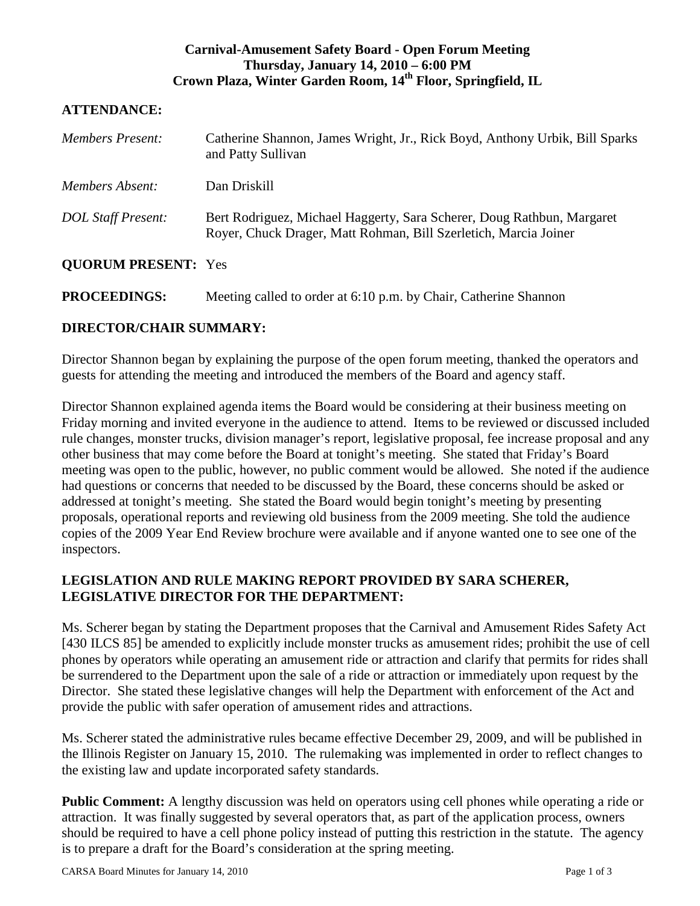## **Carnival-Amusement Safety Board - Open Forum Meeting Thursday, January 14, 2010 – 6:00 PM Crown Plaza, Winter Garden Room, 14th Floor, Springfield, IL**

## **ATTENDANCE:**

| <b>Members Present:</b>    | Catherine Shannon, James Wright, Jr., Rick Boyd, Anthony Urbik, Bill Sparks<br>and Patty Sullivan                                          |
|----------------------------|--------------------------------------------------------------------------------------------------------------------------------------------|
| Members Absent:            | Dan Driskill                                                                                                                               |
| <b>DOL Staff Present:</b>  | Bert Rodriguez, Michael Haggerty, Sara Scherer, Doug Rathbun, Margaret<br>Royer, Chuck Drager, Matt Rohman, Bill Szerletich, Marcia Joiner |
| <b>QUORUM PRESENT: Yes</b> |                                                                                                                                            |

**PROCEEDINGS:** Meeting called to order at 6:10 p.m. by Chair, Catherine Shannon

## **DIRECTOR/CHAIR SUMMARY:**

Director Shannon began by explaining the purpose of the open forum meeting, thanked the operators and guests for attending the meeting and introduced the members of the Board and agency staff.

Director Shannon explained agenda items the Board would be considering at their business meeting on Friday morning and invited everyone in the audience to attend. Items to be reviewed or discussed included rule changes, monster trucks, division manager's report, legislative proposal, fee increase proposal and any other business that may come before the Board at tonight's meeting. She stated that Friday's Board meeting was open to the public, however, no public comment would be allowed. She noted if the audience had questions or concerns that needed to be discussed by the Board, these concerns should be asked or addressed at tonight's meeting. She stated the Board would begin tonight's meeting by presenting proposals, operational reports and reviewing old business from the 2009 meeting. She told the audience copies of the 2009 Year End Review brochure were available and if anyone wanted one to see one of the inspectors.

## **LEGISLATION AND RULE MAKING REPORT PROVIDED BY SARA SCHERER, LEGISLATIVE DIRECTOR FOR THE DEPARTMENT:**

Ms. Scherer began by stating the Department proposes that the Carnival and Amusement Rides Safety Act [430 ILCS 85] be amended to explicitly include monster trucks as amusement rides; prohibit the use of cell phones by operators while operating an amusement ride or attraction and clarify that permits for rides shall be surrendered to the Department upon the sale of a ride or attraction or immediately upon request by the Director. She stated these legislative changes will help the Department with enforcement of the Act and provide the public with safer operation of amusement rides and attractions.

Ms. Scherer stated the administrative rules became effective December 29, 2009, and will be published in the Illinois Register on January 15, 2010. The rulemaking was implemented in order to reflect changes to the existing law and update incorporated safety standards.

**Public Comment:** A lengthy discussion was held on operators using cell phones while operating a ride or attraction. It was finally suggested by several operators that, as part of the application process, owners should be required to have a cell phone policy instead of putting this restriction in the statute. The agency is to prepare a draft for the Board's consideration at the spring meeting.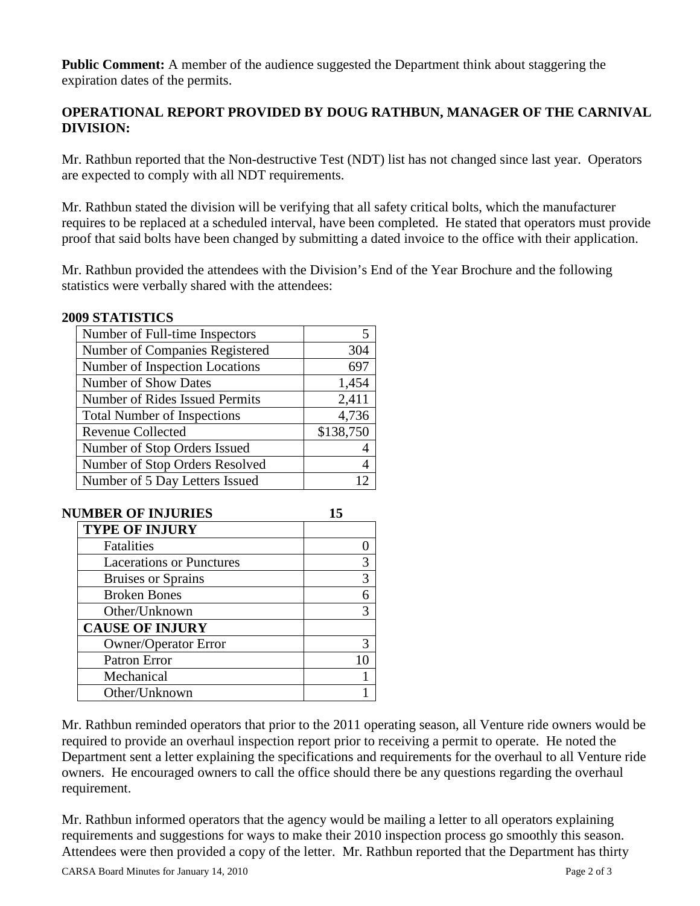**Public Comment:** A member of the audience suggested the Department think about staggering the expiration dates of the permits.

# **OPERATIONAL REPORT PROVIDED BY DOUG RATHBUN, MANAGER OF THE CARNIVAL DIVISION:**

Mr. Rathbun reported that the Non-destructive Test (NDT) list has not changed since last year. Operators are expected to comply with all NDT requirements.

Mr. Rathbun stated the division will be verifying that all safety critical bolts, which the manufacturer requires to be replaced at a scheduled interval, have been completed. He stated that operators must provide proof that said bolts have been changed by submitting a dated invoice to the office with their application.

Mr. Rathbun provided the attendees with the Division's End of the Year Brochure and the following statistics were verbally shared with the attendees:

#### **2009 STATISTICS**

| Number of Full-time Inspectors     | 5         |
|------------------------------------|-----------|
| Number of Companies Registered     | 304       |
| Number of Inspection Locations     | 697       |
| <b>Number of Show Dates</b>        | 1,454     |
| Number of Rides Issued Permits     | 2,411     |
| <b>Total Number of Inspections</b> | 4,736     |
| <b>Revenue Collected</b>           | \$138,750 |
| Number of Stop Orders Issued       |           |
| Number of Stop Orders Resolved     | 4         |
| Number of 5 Day Letters Issued     | 12        |

| <b>NUMBER OF INJURIES</b>       |              |
|---------------------------------|--------------|
| <b>TYPE OF INJURY</b>           |              |
| Fatalities                      |              |
| <b>Lacerations or Punctures</b> | 3            |
| <b>Bruises or Sprains</b>       | 3            |
| <b>Broken Bones</b>             | 6            |
| Other/Unknown                   | $\mathbf{3}$ |
| <b>CAUSE OF INJURY</b>          |              |
| <b>Owner/Operator Error</b>     | 3            |
| Patron Error                    | 10           |
| Mechanical                      |              |
| Other/Unknown                   |              |

Mr. Rathbun reminded operators that prior to the 2011 operating season, all Venture ride owners would be required to provide an overhaul inspection report prior to receiving a permit to operate. He noted the Department sent a letter explaining the specifications and requirements for the overhaul to all Venture ride owners. He encouraged owners to call the office should there be any questions regarding the overhaul requirement.

Mr. Rathbun informed operators that the agency would be mailing a letter to all operators explaining requirements and suggestions for ways to make their 2010 inspection process go smoothly this season. Attendees were then provided a copy of the letter. Mr. Rathbun reported that the Department has thirty